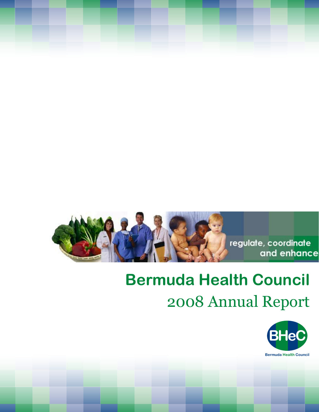

# **Bermuda Health Council** 2008 Annual Report

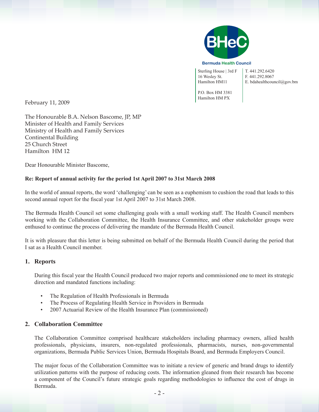

**Bermuda Health Council**

Sterling House | 3rd F 16 Wesley St. Hamilton HM11

P.O. Box HM 3381 Hamilton HM PX

T. 441.292.6420 F. 441.292.8067 E. bdahealthcouncil@gov.bm

February 11, 2009

The Honourable B.A. Nelson Bascome, JP, MP Minister of Health and Family Services Ministry of Health and Family Services Continental Building 25 Church Street Hamilton HM 12

Dear Honourable Minister Bascome,

## **Re: Report of annual activity for the period 1st April 2007 to 31st March 2008**

In the world of annual reports, the word 'challenging' can be seen as a euphemism to cushion the road that leads to this second annual report for the fiscal year 1st April 2007 to 31st March 2008.

The Bermuda Health Council set some challenging goals with a small working staff. The Health Council members working with the Collaboration Committee, the Health Insurance Committee, and other stakeholder groups were enthused to continue the process of delivering the mandate of the Bermuda Health Council.

It is with pleasure that this letter is being submitted on behalf of the Bermuda Health Council during the period that I sat as a Health Council member.

## **1. Reports**

During this fiscal year the Health Council produced two major reports and commissioned one to meet its strategic direction and mandated functions including:

- The Regulation of Health Professionals in Bermuda
- The Process of Regulating Health Service in Providers in Bermuda
- 2007 Actuarial Review of the Health Insurance Plan (commissioned)

## **2. Collaboration Committee**

The Collaboration Committee comprised healthcare stakeholders including pharmacy owners, allied health professionals, physicians, insurers, non-regulated professionals, pharmacists, nurses, non-governmental organizations, Bermuda Public Services Union, Bermuda Hospitals Board, and Bermuda Employers Council.

The major focus of the Collaboration Committee was to initiate a review of generic and brand drugs to identify utilization patterns with the purpose of reducing costs. The information gleaned from their research has become a component of the Council's future strategic goals regarding methodologies to influence the cost of drugs in Bermuda.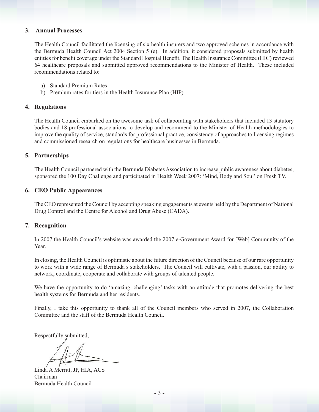#### **3. Annual Processes**

The Health Council facilitated the licensing of six health insurers and two approved schemes in accordance with the Bermuda Health Council Act 2004 Section 5 (e). In addition, it considered proposals submitted by health entities for benefit coverage under the Standard Hospital Benefit. The Health Insurance Committee (HIC) reviewed 64 healthcare proposals and submitted approved recommendations to the Minister of Health. These included recommendations related to:

- a) Standard Premium Rates
- b) Premium rates for tiers in the Health Insurance Plan (HIP)

#### **4. Regulations**

The Health Council embarked on the awesome task of collaborating with stakeholders that included 13 statutory bodies and 18 professional associations to develop and recommend to the Minister of Health methodologies to improve the quality of service, standards for professional practice, consistency of approaches to licensing regimes and commissioned research on regulations for healthcare businesses in Bermuda.

#### **5. Partnerships**

The Health Council partnered with the Bermuda Diabetes Association to increase public awareness about diabetes, sponsored the 100 Day Challenge and participated in Health Week 2007: 'Mind, Body and Soul' on Fresh TV.

#### **6. CEO Public Appearances**

The CEO represented the Council by accepting speaking engagements at events held by the Department of National Drug Control and the Centre for Alcohol and Drug Abuse (CADA).

#### **7. Recognition**

In 2007 the Health Council's website was awarded the 2007 e-Government Award for [Web] Community of the Year.

In closing, the Health Council is optimistic about the future direction of the Council because of our rare opportunity to work with a wide range of Bermuda's stakeholders. The Council will cultivate, with a passion, our ability to network, coordinate, cooperate and collaborate with groups of talented people.

We have the opportunity to do 'amazing, challenging' tasks with an attitude that promotes delivering the best health systems for Bermuda and her residents.

Finally, I take this opportunity to thank all of the Council members who served in 2007, the Collaboration Committee and the staff of the Bermuda Health Council.

Respectfully submitted,

Linda A Merritt, JP, HIA, ACS Chairman Bermuda Health Council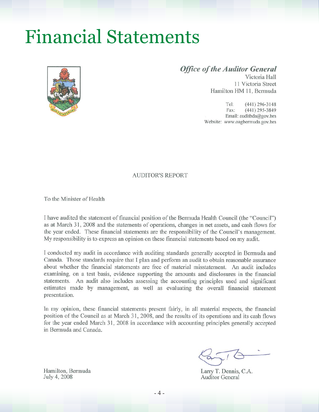# Financial Statements



# **Office of the Auditor General**

Victoria Hall 11 Victoria Street Hamilton HM 11, Bermuda

Tel:  $(441)$  296-3148 Fax: (441) 295-3849 Email: auditbda@gov.bm Website: www.oagbermuda.gov.bm

#### **AUDITOR'S REPORT**

To the Minister of Health

I have audited the statement of financial position of the Bermuda Health Council (the "Council") as at March 31, 2008 and the statements of operations, changes in net assets, and cash flows for the year ended. These financial statements are the responsibility of the Council's management. My responsibility is to express an opinion on these financial statements based on my audit.

I conducted my audit in accordance with auditing standards generally accepted in Bermuda and Canada. Those standards require that I plan and perform an audit to obtain reasonable assurance about whether the financial statements are free of material misstatement. An audit includes examining, on a test basis, evidence supporting the amounts and disclosures in the financial statements. An audit also includes assessing the accounting principles used and significant estimates made by management, as well as evaluating the overall financial statement presentation.

In my opinion, these financial statements present fairly, in all material respects, the financial position of the Council as at March 31, 2008, and the results of its operations and its cash flows for the year ended March 31, 2008 in accordance with accounting principles generally accepted in Bermuda and Canada.

Larry T. Dennis, C.A. **Auditor General** 

Hamilton, Bermuda July 4, 2008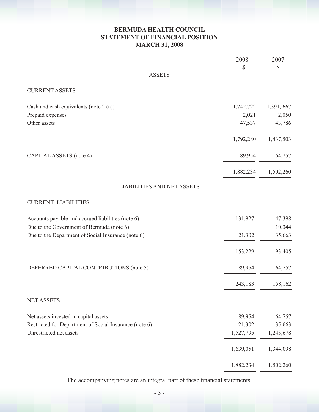# **BERMUDA HEALTH COUNCIL STATEMENT OF FINANCIAL POSITION MARCH 31, 2008**

|                                                        | 2008<br>\$ | 2007<br>$\boldsymbol{\mathsf{S}}$ |
|--------------------------------------------------------|------------|-----------------------------------|
| <b>ASSETS</b>                                          |            |                                   |
| <b>CURRENT ASSETS</b>                                  |            |                                   |
| Cash and cash equivalents (note 2 (a))                 | 1,742,722  | 1,391,667                         |
| Prepaid expenses                                       | 2,021      | 2,050                             |
| Other assets                                           | 47,537     | 43,786                            |
|                                                        | 1,792,280  | 1,437,503                         |
| CAPITAL ASSETS (note 4)                                | 89,954     | 64,757                            |
|                                                        | 1,882,234  | 1,502,260                         |
| <b>LIABILITIES AND NET ASSETS</b>                      |            |                                   |
| <b>CURRENT LIABILITIES</b>                             |            |                                   |
| Accounts payable and accrued liabilities (note 6)      | 131,927    | 47,398                            |
| Due to the Government of Bermuda (note 6)              |            | 10,344                            |
| Due to the Department of Social Insurance (note 6)     | 21,302     | 35,663                            |
|                                                        | 153,229    | 93,405                            |
| DEFERRED CAPITAL CONTRIBUTIONS (note 5)                | 89,954     | 64,757                            |
|                                                        | 243,183    | 158,162                           |
| <b>NET ASSETS</b>                                      |            |                                   |
| Net assets invested in capital assets                  | 89,954     | 64,757                            |
| Restricted for Department of Social Insurance (note 6) | 21,302     | 35,663                            |
| Unrestricted net assets                                | 1,527,795  | 1,243,678                         |
|                                                        | 1,639,051  | 1,344,098                         |
|                                                        | 1,882,234  | 1,502,260                         |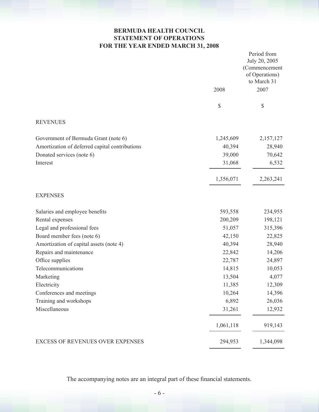# **BERMUDA HEALTH COUNCIL STATEMENT OF OPERATIONS FOR THE YEAR ENDED MARCH 31, 2008**

|                                                | 2008      | Period from<br>July 20, 2005<br>(Commencement<br>of Operations)<br>to March 31<br>2007 |
|------------------------------------------------|-----------|----------------------------------------------------------------------------------------|
|                                                |           |                                                                                        |
|                                                | \$        | $\mathbb{S}$                                                                           |
| <b>REVENUES</b>                                |           |                                                                                        |
| Government of Bermuda Grant (note 6)           | 1,245,609 | 2,157,127                                                                              |
| Amortization of deferred capital contributions | 40,394    | 28,940                                                                                 |
| Donated services (note 6)                      | 39,000    | 70,642                                                                                 |
| Interest                                       | 31,068    | 6,532                                                                                  |
|                                                | 1,356,071 | 2,263,241                                                                              |
| <b>EXPENSES</b>                                |           |                                                                                        |
| Salaries and employee benefits                 | 593,558   | 234,955                                                                                |
| Rental expenses                                | 200,209   | 198,121                                                                                |
| Legal and professional fees                    | 51,057    | 315,396                                                                                |
| Board member fees (note 6)                     | 42,150    | 22,825                                                                                 |
| Amortization of capital assets (note 4)        | 40,394    | 28,940                                                                                 |
| Repairs and maintenance                        | 22,842    | 14,206                                                                                 |
| Office supplies                                | 22,787    | 24,897                                                                                 |
| Telecommunications                             | 14,815    | 10,053                                                                                 |
| Marketing                                      | 13,504    | 4,077                                                                                  |
| Electricity                                    | 11,385    | 12,309                                                                                 |
| Conferences and meetings                       | 10,264    | 14,396                                                                                 |
| Training and workshops                         | 6,892     | 26,036                                                                                 |
| Miscellaneous                                  | 31,261    | 12,932                                                                                 |
|                                                | 1,061,118 | 919,143                                                                                |
| <b>EXCESS OF REVENUES OVER EXPENSES</b>        | 294,953   | 1,344,098                                                                              |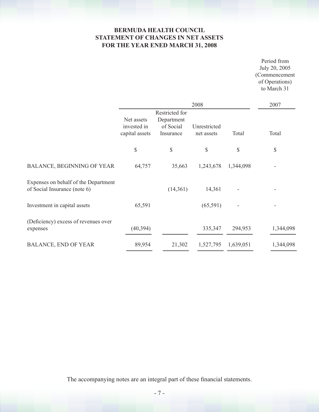# **BERMUDA HEALTH COUNCIL STATEMENT OF CHANGES IN NET ASSETS FOR THE YEAR ENED MARCH 31, 2008**

Period from July 20, 2005 (Commencement of Operations) to March 31

|                                                                      |                                                                                                       |          | 2008                       |           | 2007      |
|----------------------------------------------------------------------|-------------------------------------------------------------------------------------------------------|----------|----------------------------|-----------|-----------|
|                                                                      | Restricted for<br>Department<br>Net assets<br>of Social<br>invested in<br>capital assets<br>Insurance |          | Unrestricted<br>net assets | Total     |           |
|                                                                      | \$                                                                                                    | \$       | \$                         | \$        | \$        |
| <b>BALANCE, BEGINNING OF YEAR</b>                                    | 64,757                                                                                                | 35,663   | 1,243,678                  | 1,344,098 |           |
| Expenses on behalf of the Department<br>of Social Insurance (note 6) |                                                                                                       | (14,361) | 14,361                     |           |           |
| Investment in capital assets                                         | 65,591                                                                                                |          | (65,591)                   | ۰         |           |
| (Deficiency) excess of revenues over<br>expenses                     | (40, 394)                                                                                             |          | 335,347                    | 294,953   | 1,344,098 |
| <b>BALANCE, END OF YEAR</b>                                          | 89,954                                                                                                | 21,302   | 1,527,795                  | 1,639,051 | 1,344,098 |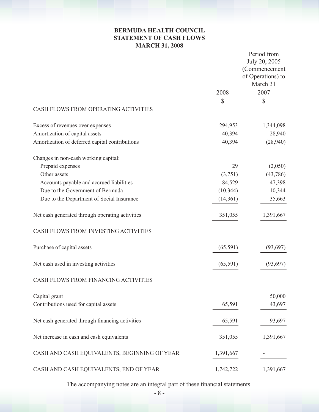# **BERMUDA HEALTH COUNCIL STATEMENT OF CASH FLOWS MARCH 31, 2008**

|                                                 |           | Period from<br>July 20, 2005<br>(Commencement<br>of Operations) to<br>March 31 |
|-------------------------------------------------|-----------|--------------------------------------------------------------------------------|
|                                                 | 2008      | 2007                                                                           |
|                                                 | \$        | \$                                                                             |
| CASH FLOWS FROM OPERATING ACTIVITIES            |           |                                                                                |
| Excess of revenues over expenses                | 294,953   | 1,344,098                                                                      |
| Amortization of capital assets                  | 40,394    | 28,940                                                                         |
| Amortization of deferred capital contributions  | 40,394    | (28,940)                                                                       |
| Changes in non-cash working capital:            |           |                                                                                |
| Prepaid expenses                                | 29        | (2,050)                                                                        |
| Other assets                                    | (3,751)   | (43,786)                                                                       |
| Accounts payable and accrued liabilities        | 84,529    | 47,398                                                                         |
| Due to the Government of Bermuda                | (10, 344) | 10,344                                                                         |
| Due to the Department of Social Insurance       | (14,361)  | 35,663                                                                         |
| Net cash generated through operating activities | 351,055   | 1,391,667                                                                      |
| CASH FLOWS FROM INVESTING ACTIVITIES            |           |                                                                                |
| Purchase of capital assets                      | (65,591)  | (93, 697)                                                                      |
| Net cash used in investing activities           | (65,591)  | (93, 697)                                                                      |
| CASH FLOWS FROM FINANCING ACTIVITIES            |           |                                                                                |
| Capital grant                                   |           | 50,000                                                                         |
| Contributions used for capital assets           | 65,591    | 43,697                                                                         |
| Net cash generated through financing activities | 65,591    | 93,697                                                                         |
| Net increase in cash and cash equivalents       | 351,055   | 1,391,667                                                                      |
| CASH AND CASH EQUIVALENTS, BEGINNING OF YEAR    | 1,391,667 |                                                                                |
| CASH AND CASH EQUIVALENTS, END OF YEAR          | 1,742,722 | 1,391,667                                                                      |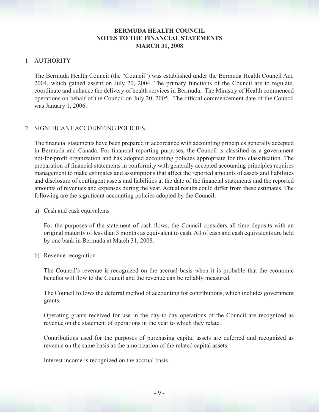## 1. AUTHORITY

The Bermuda Health Council (the "Council") was established under the Bermuda Health Council Act, 2004, which gained assent on July 20, 2004. The primary functions of the Council are to regulate, coordinate and enhance the delivery of health services in Bermuda. The Ministry of Health commenced operations on behalf of the Council on July 20, 2005. The official commencement date of the Council was January 1, 2006.

## 2. SIGNIFICANT ACCOUNTING POLICIES

The financial statements have been prepared in accordance with accounting principles generally accepted in Bermuda and Canada. For financial reporting purposes, the Council is classified as a government not-for-profit organization and has adopted accounting policies appropriate for this classification. The preparation of financial statements in conformity with generally accepted accounting principles requires management to make estimates and assumptions that affect the reported amounts of assets and liabilities and disclosure of contingent assets and liabilities at the date of the financial statements and the reported amounts of revenues and expenses during the year. Actual results could differ from these estimates. The following are the significant accounting policies adopted by the Council:

a) Cash and cash equivalents

For the purposes of the statement of cash flows, the Council considers all time deposits with an original maturity of less than 3 months as equivalent to cash. All of cash and cash equivalents are held by one bank in Bermuda at March 31, 2008.

b) Revenue recognition

The Council's revenue is recognized on the accrual basis when it is probable that the economic benefits will flow to the Council and the revenue can be reliably measured.

The Council follows the deferral method of accounting for contributions, which includes government grants.

Operating grants received for use in the day-to-day operations of the Council are recognized as revenue on the statement of operations in the year to which they relate.

Contributions used for the purposes of purchasing capital assets are deferred and recognized as revenue on the same basis as the amortization of the related capital assets.

Interest income is recognized on the accrual basis.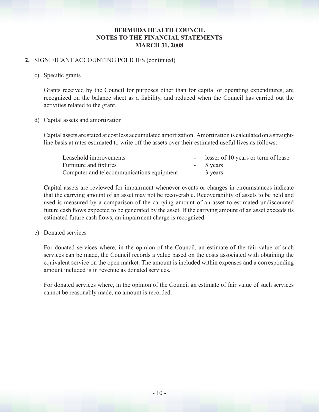# **2.** SIGNIFICANT ACCOUNTING POLICIES (continued)

#### c) Specific grants

Grants received by the Council for purposes other than for capital or operating expenditures, are recognized on the balance sheet as a liability, and reduced when the Council has carried out the activities related to the grant.

d) Capital assets and amortization

Capital assets are stated at cost less accumulated amortization. Amortization is calculated on a straightline basis at rates estimated to write off the assets over their estimated useful lives as follows:

| Leasehold improvements                    | - lesser of 10 years or term of lease |
|-------------------------------------------|---------------------------------------|
| Furniture and fixtures                    | $-5$ years                            |
| Computer and telecommunications equipment | $-3$ years                            |

Capital assets are reviewed for impairment whenever events or changes in circumstances indicate that the carrying amount of an asset may not be recoverable. Recoverability of assets to be held and used is measured by a comparison of the carrying amount of an asset to estimated undiscounted future cash flows expected to be generated by the asset. If the carrying amount of an asset exceeds its estimated future cash flows, an impairment charge is recognized.

e) Donated services

For donated services where, in the opinion of the Council, an estimate of the fair value of such services can be made, the Council records a value based on the costs associated with obtaining the equivalent service on the open market. The amount is included within expenses and a corresponding amount included is in revenue as donated services.

For donated services where, in the opinion of the Council an estimate of fair value of such services cannot be reasonably made, no amount is recorded.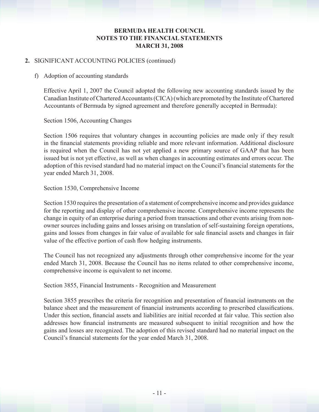# **2.** SIGNIFICANT ACCOUNTING POLICIES (continued)

f) Adoption of accounting standards

Effective April 1, 2007 the Council adopted the following new accounting standards issued by the Canadian Institute of Chartered Accountants (CICA) (which are promoted by the Institute of Chartered Accountants of Bermuda by signed agreement and therefore generally accepted in Bermuda):

Section 1506, Accounting Changes

Section 1506 requires that voluntary changes in accounting policies are made only if they result in the financial statements providing reliable and more relevant information. Additional disclosure is required when the Council has not yet applied a new primary source of GAAP that has been issued but is not yet effective, as well as when changes in accounting estimates and errors occur. The adoption of this revised standard had no material impact on the Council's financial statements for the year ended March 31, 2008.

Section 1530, Comprehensive Income

Section 1530 requires the presentation of a statement of comprehensive income and provides guidance for the reporting and display of other comprehensive income. Comprehensive income represents the change in equity of an enterprise during a period from transactions and other events arising from nonowner sources including gains and losses arising on translation of self-sustaining foreign operations, gains and losses from changes in fair value of available for sale financial assets and changes in fair value of the effective portion of cash flow hedging instruments.

The Council has not recognized any adjustments through other comprehensive income for the year ended March 31, 2008. Because the Council has no items related to other comprehensive income, comprehensive income is equivalent to net income.

Section 3855, Financial Instruments - Recognition and Measurement

Section 3855 prescribes the criteria for recognition and presentation of financial instruments on the balance sheet and the measurement of financial instruments according to prescribed classifications. Under this section, financial assets and liabilities are initial recorded at fair value. This section also addresses how financial instruments are measured subsequent to initial recognition and how the gains and losses are recognized. The adoption of this revised standard had no material impact on the Council's financial statements for the year ended March 31, 2008.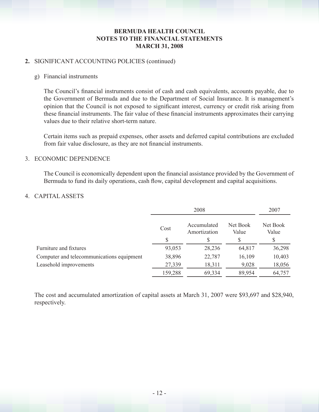# **2.** SIGNIFICANT ACCOUNTING POLICIES (continued)

#### g) Financial instruments

The Council's financial instruments consist of cash and cash equivalents, accounts payable, due to the Government of Bermuda and due to the Department of Social Insurance. It is management's opinion that the Council is not exposed to significant interest, currency or credit risk arising from these financial instruments. The fair value of these financial instruments approximates their carrying values due to their relative short-term nature.

Certain items such as prepaid expenses, other assets and deferred capital contributions are excluded from fair value disclosure, as they are not financial instruments.

## 3. ECONOMIC DEPENDENCE

The Council is economically dependent upon the financial assistance provided by the Government of Bermuda to fund its daily operations, cash flow, capital development and capital acquisitions.

## 4. CAPITAL ASSETS

|                                           | 2008    |                             |                   | 2007              |
|-------------------------------------------|---------|-----------------------------|-------------------|-------------------|
|                                           | Cost    | Accumulated<br>Amortization | Net Book<br>Value | Net Book<br>Value |
|                                           |         |                             |                   | S                 |
| Furniture and fixtures                    | 93,053  | 28,236                      | 64,817            | 36,298            |
| Computer and telecommunications equipment | 38,896  | 22,787                      | 16,109            | 10,403            |
| Leasehold improvements                    | 27,339  | 18,311                      | 9,028             | 18,056            |
|                                           | 159,288 | 69,334                      | 89,954            | 64,757            |

The cost and accumulated amortization of capital assets at March 31, 2007 were \$93,697 and \$28,940, respectively.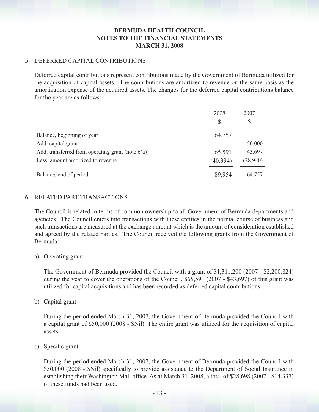# 5. DEFERRED CAPITAL CONTRIBUTIONS

Deferred capital contributions represent contributions made by the Government of Bermuda utilized for the acquisition of capital assets. The contributions are amortized to revenue on the same basis as the amortization expense of the acquired assets. The changes for the deferred capital contributions balance for the year are as follows:

|                                                      | 2008      | 2007     |
|------------------------------------------------------|-----------|----------|
|                                                      | \$        | \$       |
| Balance, beginning of year                           | 64,757    |          |
| Add: capital grant                                   |           | 50,000   |
| Add: transferred from operating grant (note $6(a)$ ) | 65,591    | 43,697   |
| Less: amount amortized to revenue                    | (40, 394) | (28,940) |
| Balance, end of period                               | 89,954    | 64,757   |

# 6. RELATED PART TRANSACTIONS

The Council is related in terms of common ownership to all Government of Bermuda departments and agencies. The Council enters into transactions with these entities in the normal course of business and such transactions are measured at the exchange amount which is the amount of consideration established and agreed by the related parties. The Council received the following grants from the Government of Bermuda:

a) Operating grant

The Government of Bermuda provided the Council with a grant of \$1,311,200 (2007 - \$2,200,824) during the year to cover the operations of the Council. \$65,591 (2007 - \$43,697) of this grant was utilized for capital acquisitions and has been recorded as deferred capital contributions.

b) Capital grant

During the period ended March 31, 2007, the Government of Bermuda provided the Council with a capital grant of \$50,000 (2008 - \$Nil). The entire grant was utilized for the acquisition of capital assets.

c) Specific grant

During the period ended March 31, 2007, the Government of Bermuda provided the Council with \$50,000 (2008 - \$Nil) specifically to provide assistance to the Department of Social Insurance in establishing their Washington Mall office. As at March 31, 2008, a total of \$28,698 (2007 - \$14,337) of these funds had been used.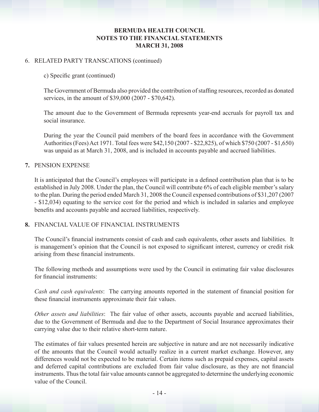## 6. RELATED PARTY TRANSCATIONS (continued)

c) Specific grant (continued)

The Government of Bermuda also provided the contribution of staffing resources, recorded as donated services, in the amount of \$39,000 (2007 - \$70,642).

The amount due to the Government of Bermuda represents year-end accruals for payroll tax and social insurance.

During the year the Council paid members of the board fees in accordance with the Government Authorities (Fees) Act 1971. Total fees were \$42,150 (2007 - \$22,825), of which \$750 (2007 - \$1,650) was unpaid as at March 31, 2008, and is included in accounts payable and accrued liabilities.

## **7.** PENSION EXPENSE

It is anticipated that the Council's employees will participate in a defined contribution plan that is to be established in July 2008. Under the plan, the Council will contribute 6% of each eligible member's salary to the plan. During the period ended March 31, 2008 the Council expensed contributions of \$31,207 (2007 - \$12,034) equating to the service cost for the period and which is included in salaries and employee benefits and accounts payable and accrued liabilities, respectively.

# **8.** FINANCIAL VALUE OF FINANCIAL INSTRUMENTS

The Council's financial instruments consist of cash and cash equivalents, other assets and liabilities. It is management's opinion that the Council is not exposed to significant interest, currency or credit risk arising from these financial instruments.

The following methods and assumptions were used by the Council in estimating fair value disclosures for financial instruments:

*Cash and cash equivalents*: The carrying amounts reported in the statement of financial position for these financial instruments approximate their fair values.

*Other assets and liabilities*: The fair value of other assets, accounts payable and accrued liabilities, due to the Government of Bermuda and due to the Department of Social Insurance approximates their carrying value due to their relative short-term nature.

The estimates of fair values presented herein are subjective in nature and are not necessarily indicative of the amounts that the Council would actually realize in a current market exchange. However, any differences would not be expected to be material. Certain items such as prepaid expenses, capital assets and deferred capital contributions are excluded from fair value disclosure, as they are not financial instruments. Thus the total fair value amounts cannot be aggregated to determine the underlying economic value of the Council.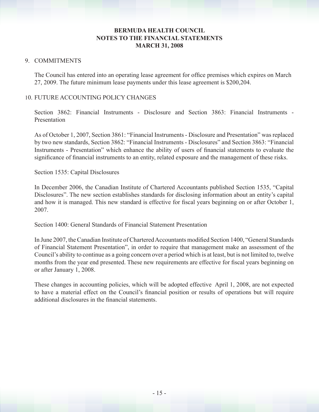## 9. COMMITMENTS

The Council has entered into an operating lease agreement for office premises which expires on March 27, 2009. The future minimum lease payments under this lease agreement is \$200,204.

## 10. FUTURE ACCOUNTING POLICY CHANGES

Section 3862: Financial Instruments - Disclosure and Section 3863: Financial Instruments - Presentation

As of October 1, 2007, Section 3861: "Financial Instruments - Disclosure and Presentation" was replaced by two new standards, Section 3862: "Financial Instruments - Disclosures" and Section 3863: "Financial Instruments - Presentation" which enhance the ability of users of financial statements to evaluate the significance of financial instruments to an entity, related exposure and the management of these risks.

Section 1535: Capital Disclosures

In December 2006, the Canadian Institute of Chartered Accountants published Section 1535, "Capital Disclosures". The new section establishes standards for disclosing information about an entity's capital and how it is managed. This new standard is effective for fiscal years beginning on or after October 1, 2007.

Section 1400: General Standards of Financial Statement Presentation

In June 2007, the Canadian Institute of Chartered Accountants modified Section 1400, "General Standards of Financial Statement Presentation", in order to require that management make an assessment of the Council's ability to continue as a going concern over a period which is at least, but is not limited to, twelve months from the year end presented. These new requirements are effective for fiscal years beginning on or after January 1, 2008.

These changes in accounting policies, which will be adopted effective April 1, 2008, are not expected to have a material effect on the Council's financial position or results of operations but will require additional disclosures in the financial statements.